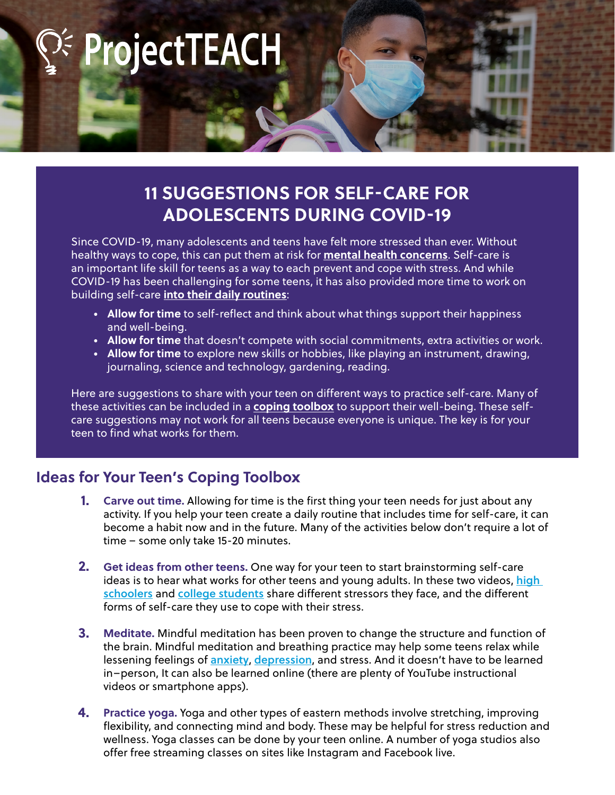**ProjectTEACH** 

## **11 SUGGESTIONS FOR SELF-CARE FOR ADOLESCENTS DURING COVID-19**

Since COVID-19, many adolescents and teens have felt more stressed than ever. Without healthy ways to cope, this can put them at risk for **mental health concerns**. Self-care is an important life skill for teens as a way to each prevent and cope with stress. And while COVID-19 has been challenging for some teens, it has also provided more time to work on building self-care **into their daily routines**:

- **• Allow for time** to self-reflect and think about what things support their happiness and well-being.
- **• Allow for time** that doesn't compete with social commitments, extra activities or work.
- **• Allow for time** to explore new skills or hobbies, like playing an instrument, drawing, journaling, science and technology, gardening, reading.

Here are suggestions to share with your teen on different ways to practice self-care. Many of these activities can be included in a **coping toolbox** to support their well-being. These selfcare suggestions may not work for all teens because everyone is unique. The key is for your teen to find what works for them.

## **Ideas for Your Teen's Coping Toolbox**

- **Carve out time.** Allowing for time is the first thing your teen needs for just about any activity. If you help your teen create a daily routine that includes time for self-care, it can become a habit now and in the future. Many of the activities below don't require a lot of time – some only take 15-20 minutes. **1.**
- **Get ideas from other teens.** One way for your teen to start brainstorming self-care ideas is to hear what works for other teens and young adults. In these two videos, high schoolers and college students share different stressors they face, and the different forms of self-care they use to cope with their stress. **2.**
- **Meditate.** Mindful meditation has been proven to change the structure and function of the brain. Mindful meditation and breathing practice may help some teens relax while lessening feelings of **anxiety, depression**, and stress. And it doesn't have to be learned in–person, It can also be learned online (there are plenty of YouTube instructional videos or smartphone apps). **3.**
- **Practice yoga.** Yoga and other types of eastern methods involve stretching, improving flexibility, and connecting mind and body. These may be helpful for stress reduction and wellness. Yoga classes can be done by your teen online. A number of yoga studios also offer free streaming classes on sites like Instagram and Facebook live. **4.**